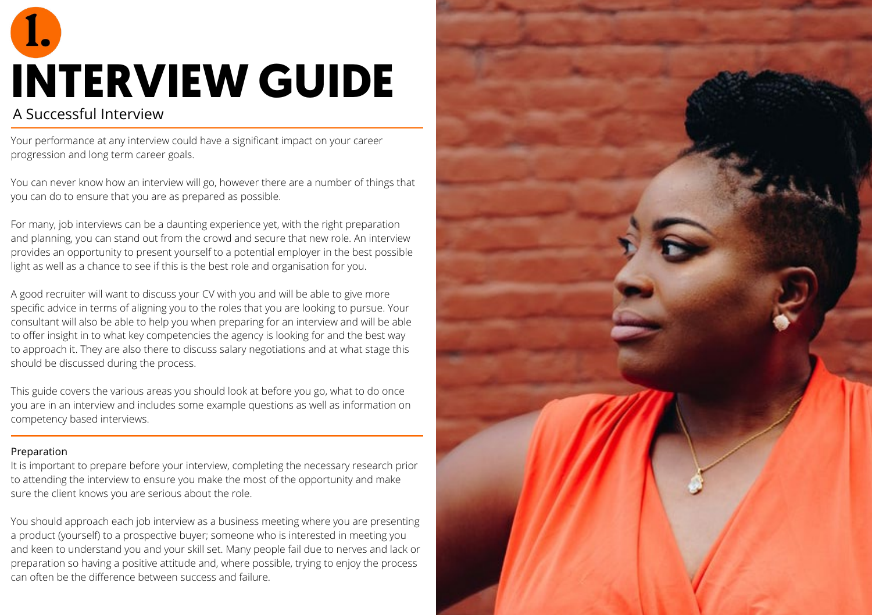### A Successful Interview **INTERVIEW GUIDE**

Your performance at any interview could have a significant impact on your career progression and long term career goals.

You can never know how an interview will go, however there are a number of things that you can do to ensure that you are as prepared as possible.

For many, job interviews can be a daunting experience yet, with the right preparation and planning, you can stand out from the crowd and secure that new role. An interview provides an opportunity to present yourself to a potential employer in the best possible light as well as a chance to see if this is the best role and organisation for you.

A good recruiter will want to discuss your CV with you and will be able to give more specific advice in terms of aligning you to the roles that you are looking to pursue. Your consultant will also be able to help you when preparing for an interview and will be able to offer insight in to what key competencies the agency is looking for and the best way to approach it. They are also there to discuss salary negotiations and at what stage this should be discussed during the process.

This guide covers the various areas you should look at before you go, what to do once you are in an interview and includes some example questions as well as information on competency based interviews.

#### Preparation

It is important to prepare before your interview, completing the necessary research prior to attending the interview to ensure you make the most of the opportunity and make sure the client knows you are serious about the role.

You should approach each job interview as a business meeting where you are presenting a product (yourself) to a prospective buyer; someone who is interested in meeting you and keen to understand you and your skill set. Many people fail due to nerves and lack or preparation so having a positive attitude and, where possible, trying to enjoy the process can often be the difference between success and failure.

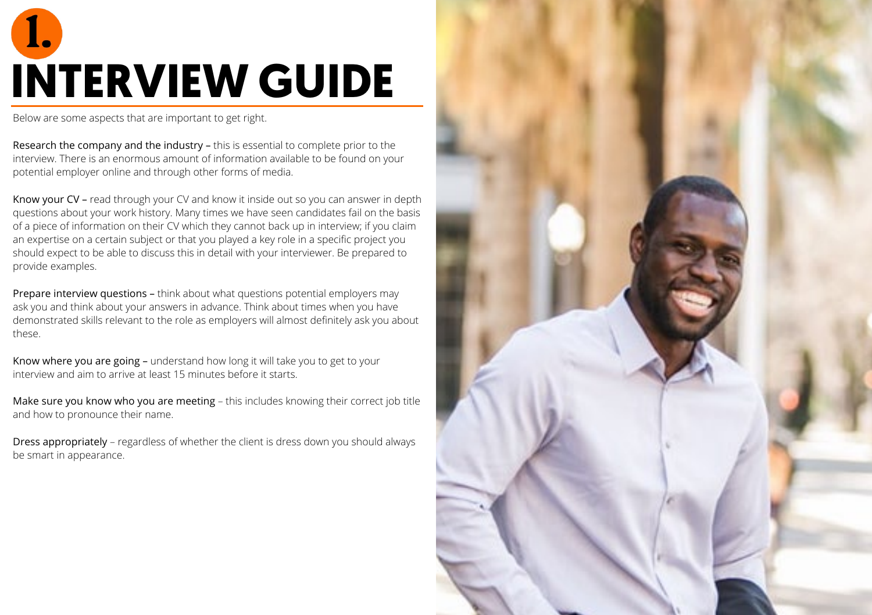# **INTERVIEW GUIDE**

Below are some aspects that are important to get right.

Research the company and the industry – this is essential to complete prior to the interview. There is an enormous amount of information available to be found on your potential employer online and through other forms of media.

Know your CV – read through your CV and know it inside out so you can answer in depth questions about your work history. Many times we have seen candidates fail on the basis of a piece of information on their CV which they cannot back up in interview; if you claim an expertise on a certain subject or that you played a key role in a specific project you should expect to be able to discuss this in detail with your interviewer. Be prepared to provide examples.

Prepare interview questions – think about what questions potential employers may ask you and think about your answers in advance. Think about times when you have demonstrated skills relevant to the role as employers will almost definitely ask you about these.

Know where you are going – understand how long it will take you to get to your interview and aim to arrive at least 15 minutes before it starts.

Make sure you know who you are meeting – this includes knowing their correct job title and how to pronounce their name.

Dress appropriately – regardless of whether the client is dress down you should always be smart in appearance.

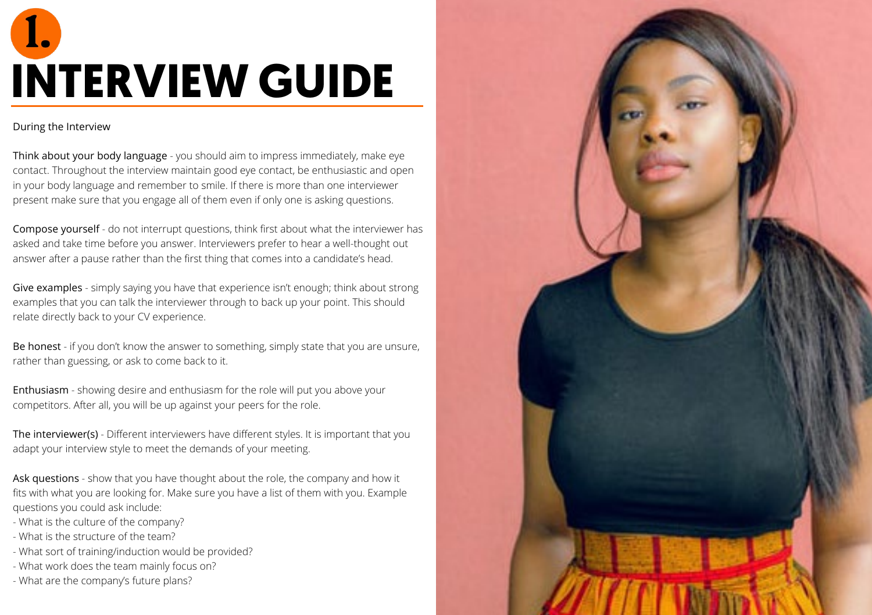# **INTERVIEW GUIDE**

#### During the Interview

Think about your body language - you should aim to impress immediately, make eye contact. Throughout the interview maintain good eye contact, be enthusiastic and open in your body language and remember to smile. If there is more than one interviewer present make sure that you engage all of them even if only one is asking questions.

Compose yourself - do not interrupt questions, think first about what the interviewer has asked and take time before you answer. Interviewers prefer to hear a well-thought out answer after a pause rather than the first thing that comes into a candidate's head.

Give examples - simply saying you have that experience isn't enough; think about strong examples that you can talk the interviewer through to back up your point. This should relate directly back to your CV experience.

Be honest - if you don't know the answer to something, simply state that you are unsure, rather than guessing, or ask to come back to it.

Enthusiasm - showing desire and enthusiasm for the role will put you above your competitors. After all, you will be up against your peers for the role.

The interviewer(s) - Different interviewers have different styles. It is important that you adapt your interview style to meet the demands of your meeting.

Ask questions - show that you have thought about the role, the company and how it fits with what you are looking for. Make sure you have a list of them with you. Example questions you could ask include:

- What is the culture of the company?
- What is the structure of the team?
- What sort of training/induction would be provided?
- What work does the team mainly focus on?
- What are the company's future plans?

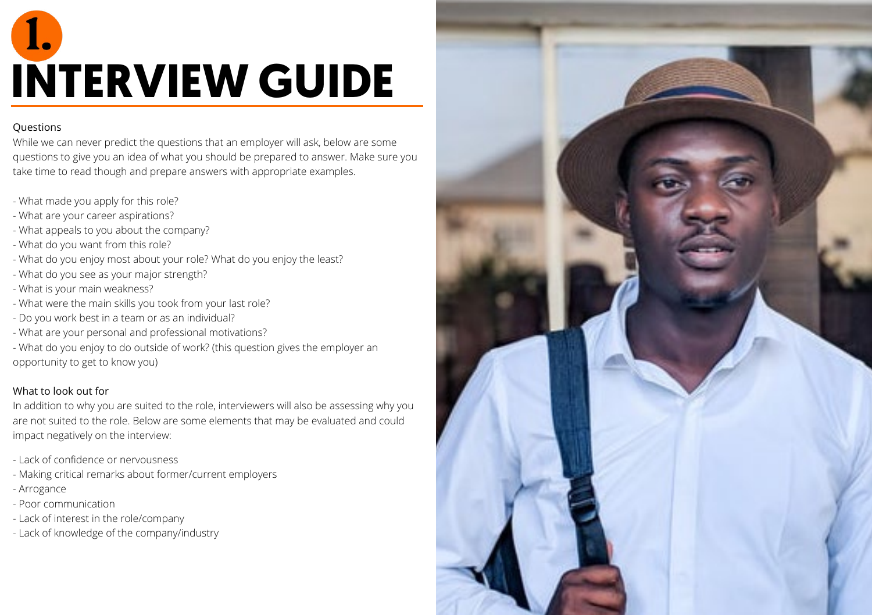### **INTERVIEW GUIDE**

### **Ouestions**

While we can never predict the questions that an employer will ask, below are some questions to give you an idea of what you should be prepared to answer. Make sure you take time to read though and prepare answers with appropriate examples.

- What made you apply for this role?
- What are your career aspirations?
- What appeals to you about the company?
- What do you want from this role?
- What do you enjoy most about your role? What do you enjoy the least?
- What do you see as your major strength?
- What is your main weakness?
- What were the main skills you took from your last role?
- Do you work best in a team or as an individual?
- What are your personal and professional motivations?
- What do you enjoy to do outside of work? (this question gives the employer an opportunity to get to know you)

### What to look out for

In addition to why you are suited to the role, interviewers will also be assessing why you are not suited to the role. Below are some elements that may be evaluated and could impact negatively on the interview:

- Lack of confidence or nervousness
- Making critical remarks about former/current employers
- Arrogance
- Poor communication
- Lack of interest in the role/company
- Lack of knowledge of the company/industry